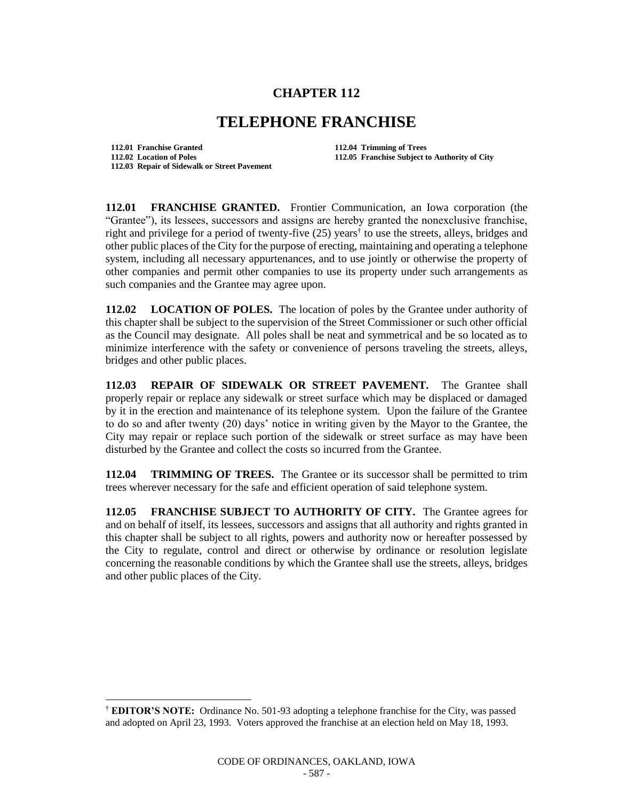## **CHAPTER 112**

## **TELEPHONE FRANCHISE**

**112.01 Franchise Granted 112.04 Trimming of Trees 112.02 Location of Poles 112.05 Franchise Subject to Authority of City 112.03 Repair of Sidewalk or Street Pavement**

l

**112.01 FRANCHISE GRANTED.** Frontier Communication, an Iowa corporation (the "Grantee"), its lessees, successors and assigns are hereby granted the nonexclusive franchise, right and privilege for a period of twenty-five (25) years<sup>†</sup> to use the streets, alleys, bridges and other public places of the City for the purpose of erecting, maintaining and operating a telephone system, including all necessary appurtenances, and to use jointly or otherwise the property of other companies and permit other companies to use its property under such arrangements as such companies and the Grantee may agree upon.

**112.02 LOCATION OF POLES.** The location of poles by the Grantee under authority of this chapter shall be subject to the supervision of the Street Commissioner or such other official as the Council may designate. All poles shall be neat and symmetrical and be so located as to minimize interference with the safety or convenience of persons traveling the streets, alleys, bridges and other public places.

**112.03 REPAIR OF SIDEWALK OR STREET PAVEMENT.** The Grantee shall properly repair or replace any sidewalk or street surface which may be displaced or damaged by it in the erection and maintenance of its telephone system. Upon the failure of the Grantee to do so and after twenty (20) days' notice in writing given by the Mayor to the Grantee, the City may repair or replace such portion of the sidewalk or street surface as may have been disturbed by the Grantee and collect the costs so incurred from the Grantee.

**112.04 TRIMMING OF TREES.** The Grantee or its successor shall be permitted to trim trees wherever necessary for the safe and efficient operation of said telephone system.

**112.05 FRANCHISE SUBJECT TO AUTHORITY OF CITY.** The Grantee agrees for and on behalf of itself, its lessees, successors and assigns that all authority and rights granted in this chapter shall be subject to all rights, powers and authority now or hereafter possessed by the City to regulate, control and direct or otherwise by ordinance or resolution legislate concerning the reasonable conditions by which the Grantee shall use the streets, alleys, bridges and other public places of the City.

<sup>†</sup> **EDITOR'S NOTE:** Ordinance No. 501-93 adopting a telephone franchise for the City, was passed and adopted on April 23, 1993. Voters approved the franchise at an election held on May 18, 1993.